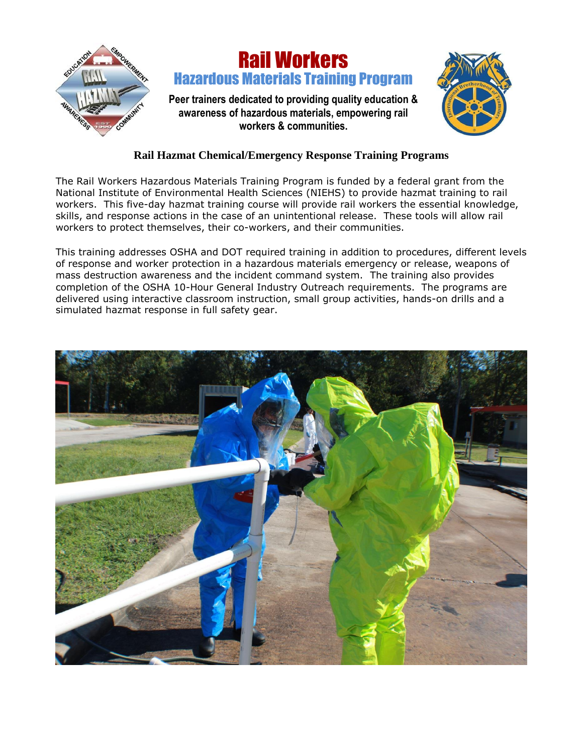

## Rail Workers Hazardous Materials Training Program

**Peer trainers dedicated to providing quality education & awareness of hazardous materials, empowering rail workers & communities.**



## **Rail Hazmat Chemical/Emergency Response Training Programs**

The Rail Workers Hazardous Materials Training Program is funded by a federal grant from the National Institute of Environmental Health Sciences (NIEHS) to provide hazmat training to rail workers. This five-day hazmat training course will provide rail workers the essential knowledge, skills, and response actions in the case of an unintentional release. These tools will allow rail workers to protect themselves, their co-workers, and their communities.

This training addresses OSHA and DOT required training in addition to procedures, different levels of response and worker protection in a hazardous materials emergency or release, weapons of mass destruction awareness and the incident command system. The training also provides completion of the OSHA 10-Hour General Industry Outreach requirements. The programs are delivered using interactive classroom instruction, small group activities, hands-on drills and a simulated hazmat response in full safety gear.